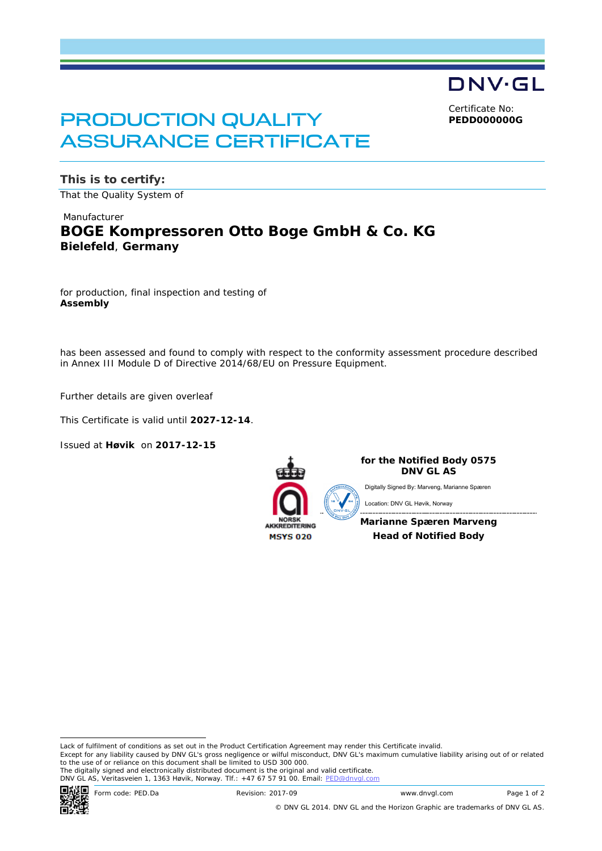DNV·GL Certificate No:

**PEDD000000G**

# PRODUCTION QUALITY ASSURANCE CERTIFICATE

**This is to certify:** That the Quality System of

### Manufacturer **BOGE Kompressoren Otto Boge GmbH & Co. KG Bielefeld**, **Germany**

for production, final inspection and testing of **Assembly**

has been assessed and found to comply with respect to the conformity assessment procedure described in Annex III Module D of Directive 2014/68/EU on Pressure Equipment.

Further details are given overleaf

This Certificate is valid until **2027-12-14**.

Issued at **Høvik** on **2017-12-15**



**for the Notified Body 0575 DNV GL AS**

Digitally Signed By: Marveng, Marianne Spæren

Location: DNV GL Høvik, Norway

**Marianne Spæren Marveng Head of Notified Body**

 Lack of fulfilment of conditions as set out in the Product Certification Agreement may render this Certificate invalid. Except for any liability caused by DNV GL's gross negligence or wilful misconduct, DNV GL's maximum cumulative liability arising out of or related to the use of or reliance on this document shall be limited to USD 300 000.

The digitally signed and electronically distributed document is the original and valid certificate.<br>DNV GL AS, Veritasveien 1, 1363 Høvik, Norway. Tlf.: +47 67 57 91 00. Email: <u>PED@dnvgl.com</u>



Form code: PED.Da Revision: 2017-09 www.dnvgl.com Page 1 of 2

© DNV GL 2014. DNV GL and the Horizon Graphic are trademarks of DNV GL AS.